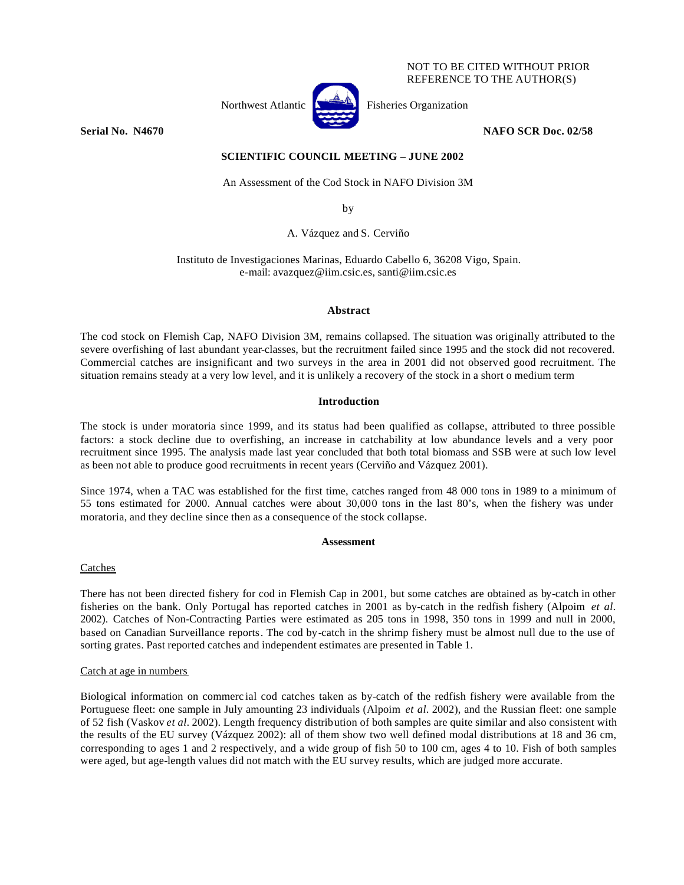## NOT TO BE CITED WITHOUT PRIOR REFERENCE TO THE AUTHOR(S)



**Serial No. N4670** NAFO SCR Doc. 02/58

# **SCIENTIFIC COUNCIL MEETING – JUNE 2002**

An Assessment of the Cod Stock in NAFO Division 3M

by

A. Vázquez and S. Cerviño

Instituto de Investigaciones Marinas, Eduardo Cabello 6, 36208 Vigo, Spain. e-mail: avazquez@iim.csic.es, santi@iim.csic.es

# **Abstract**

The cod stock on Flemish Cap, NAFO Division 3M, remains collapsed. The situation was originally attributed to the severe overfishing of last abundant year-classes, but the recruitment failed since 1995 and the stock did not recovered. Commercial catches are insignificant and two surveys in the area in 2001 did not observed good recruitment. The situation remains steady at a very low level, and it is unlikely a recovery of the stock in a short o medium term

# **Introduction**

The stock is under moratoria since 1999, and its status had been qualified as collapse, attributed to three possible factors: a stock decline due to overfishing, an increase in catchability at low abundance levels and a very poor recruitment since 1995. The analysis made last year concluded that both total biomass and SSB were at such low level as been not able to produce good recruitments in recent years (Cerviño and Vázquez 2001).

Since 1974, when a TAC was established for the first time, catches ranged from 48 000 tons in 1989 to a minimum of 55 tons estimated for 2000. Annual catches were about 30,000 tons in the last 80's, when the fishery was under moratoria, and they decline since then as a consequence of the stock collapse.

# **Assessment**

# Catches

There has not been directed fishery for cod in Flemish Cap in 2001, but some catches are obtained as by-catch in other fisheries on the bank. Only Portugal has reported catches in 2001 as by-catch in the redfish fishery (Alpoim *et al.* 2002). Catches of Non-Contracting Parties were estimated as 205 tons in 1998, 350 tons in 1999 and null in 2000, based on Canadian Surveillance reports. The cod by-catch in the shrimp fishery must be almost null due to the use of sorting grates. Past reported catches and independent estimates are presented in Table 1.

# Catch at age in numbers

Biological information on commerc ial cod catches taken as by-catch of the redfish fishery were available from the Portuguese fleet: one sample in July amounting 23 individuals (Alpoim *et al.* 2002), and the Russian fleet: one sample of 52 fish (Vaskov *et al.* 2002). Length frequency distribution of both samples are quite similar and also consistent with the results of the EU survey (Vázquez 2002): all of them show two well defined modal distributions at 18 and 36 cm, corresponding to ages 1 and 2 respectively, and a wide group of fish 50 to 100 cm, ages 4 to 10. Fish of both samples were aged, but age-length values did not match with the EU survey results, which are judged more accurate.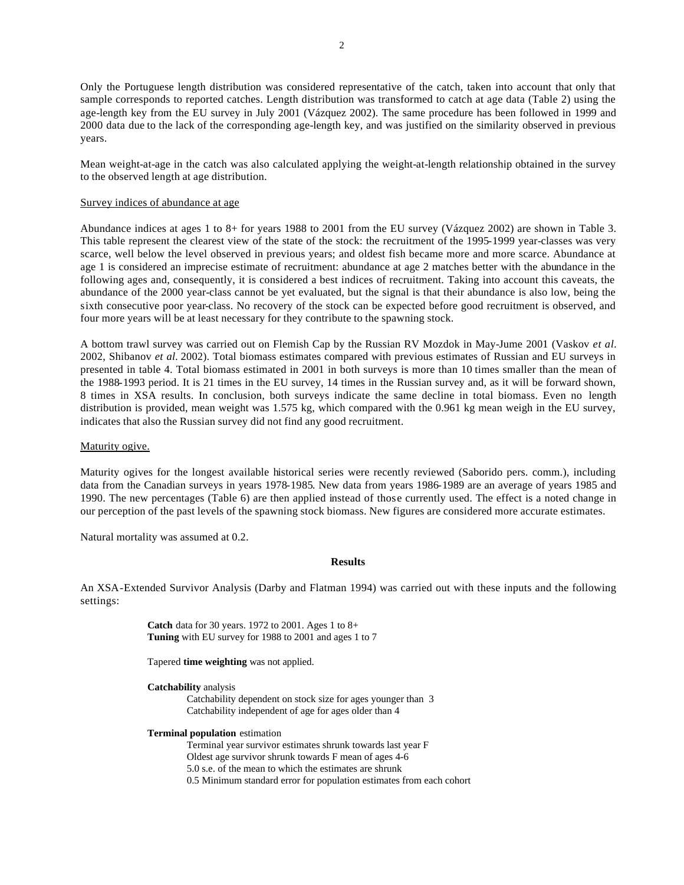Only the Portuguese length distribution was considered representative of the catch, taken into account that only that sample corresponds to reported catches. Length distribution was transformed to catch at age data (Table 2) using the age-length key from the EU survey in July 2001 (Vázquez 2002). The same procedure has been followed in 1999 and 2000 data due to the lack of the corresponding age-length key, and was justified on the similarity observed in previous years.

Mean weight-at-age in the catch was also calculated applying the weight-at-length relationship obtained in the survey to the observed length at age distribution.

## Survey indices of abundance at age

Abundance indices at ages 1 to 8+ for years 1988 to 2001 from the EU survey (Vázquez 2002) are shown in Table 3. This table represent the clearest view of the state of the stock: the recruitment of the 1995-1999 year-classes was very scarce, well below the level observed in previous years; and oldest fish became more and more scarce. Abundance at age 1 is considered an imprecise estimate of recruitment: abundance at age 2 matches better with the abundance in the following ages and, consequently, it is considered a best indices of recruitment. Taking into account this caveats, the abundance of the 2000 year-class cannot be yet evaluated, but the signal is that their abundance is also low, being the sixth consecutive poor year-class. No recovery of the stock can be expected before good recruitment is observed, and four more years will be at least necessary for they contribute to the spawning stock.

A bottom trawl survey was carried out on Flemish Cap by the Russian RV Mozdok in May-Jume 2001 (Vaskov *et al.* 2002, Shibanov *et al.* 2002). Total biomass estimates compared with previous estimates of Russian and EU surveys in presented in table 4. Total biomass estimated in 2001 in both surveys is more than 10 times smaller than the mean of the 1988-1993 period. It is 21 times in the EU survey, 14 times in the Russian survey and, as it will be forward shown, 8 times in XSA results. In conclusion, both surveys indicate the same decline in total biomass. Even no length distribution is provided, mean weight was 1.575 kg, which compared with the 0.961 kg mean weigh in the EU survey, indicates that also the Russian survey did not find any good recruitment.

### Maturity ogive.

Maturity ogives for the longest available historical series were recently reviewed (Saborido pers. comm.), including data from the Canadian surveys in years 1978-1985. New data from years 1986-1989 are an average of years 1985 and 1990. The new percentages (Table 6) are then applied instead of those currently used. The effect is a noted change in our perception of the past levels of the spawning stock biomass. New figures are considered more accurate estimates.

Natural mortality was assumed at 0.2.

## **Results**

An XSA-Extended Survivor Analysis (Darby and Flatman 1994) was carried out with these inputs and the following settings:

> **Catch** data for 30 years. 1972 to 2001. Ages 1 to 8+ **Tuning** with EU survey for 1988 to 2001 and ages 1 to 7

Tapered **time weighting** was not applied.

**Catchability** analysis Catchability dependent on stock size for ages younger than 3 Catchability independent of age for ages older than 4

#### **Terminal population** estimation

Terminal year survivor estimates shrunk towards last year F Oldest age survivor shrunk towards F mean of ages 4-6 5.0 s.e. of the mean to which the estimates are shrunk 0.5 Minimum standard error for population estimates from each cohort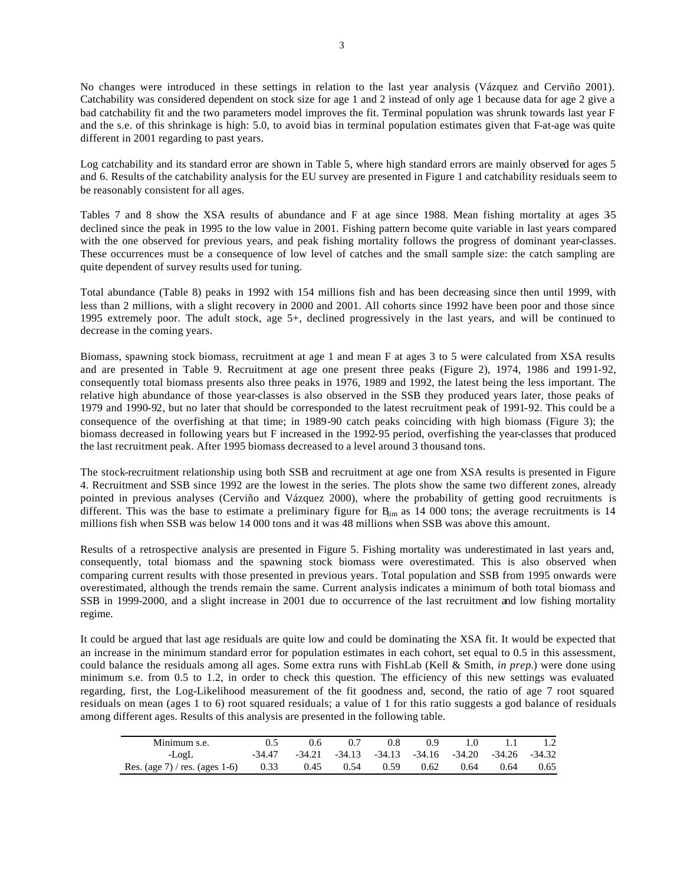No changes were introduced in these settings in relation to the last year analysis (Vázquez and Cerviño 2001). Catchability was considered dependent on stock size for age 1 and 2 instead of only age 1 because data for age 2 give a bad catchability fit and the two parameters model improves the fit. Terminal population was shrunk towards last year F and the s.e. of this shrinkage is high: 5.0, to avoid bias in terminal population estimates given that F-at-age was quite different in 2001 regarding to past years.

Log catchability and its standard error are shown in Table 5, where high standard errors are mainly observed for ages 5 and 6. Results of the catchability analysis for the EU survey are presented in Figure 1 and catchability residuals seem to be reasonably consistent for all ages.

Tables 7 and 8 show the XSA results of abundance and F at age since 1988. Mean fishing mortality at ages 3-5 declined since the peak in 1995 to the low value in 2001. Fishing pattern become quite variable in last years compared with the one observed for previous years, and peak fishing mortality follows the progress of dominant year-classes. These occurrences must be a consequence of low level of catches and the small sample size: the catch sampling are quite dependent of survey results used for tuning.

Total abundance (Table 8) peaks in 1992 with 154 millions fish and has been decreasing since then until 1999, with less than 2 millions, with a slight recovery in 2000 and 2001. All cohorts since 1992 have been poor and those since 1995 extremely poor. The adult stock, age 5+, declined progressively in the last years, and will be continued to decrease in the coming years.

Biomass, spawning stock biomass, recruitment at age 1 and mean F at ages 3 to 5 were calculated from XSA results and are presented in Table 9. Recruitment at age one present three peaks (Figure 2), 1974, 1986 and 1991-92, consequently total biomass presents also three peaks in 1976, 1989 and 1992, the latest being the less important. The relative high abundance of those year-classes is also observed in the SSB they produced years later, those peaks of 1979 and 1990-92, but no later that should be corresponded to the latest recruitment peak of 1991-92. This could be a consequence of the overfishing at that time; in 1989-90 catch peaks coinciding with high biomass (Figure 3); the biomass decreased in following years but F increased in the 1992-95 period, overfishing the year-classes that produced the last recruitment peak. After 1995 biomass decreased to a level around 3 thousand tons.

The stock-recruitment relationship using both SSB and recruitment at age one from XSA results is presented in Figure 4. Recruitment and SSB since 1992 are the lowest in the series. The plots show the same two different zones, already pointed in previous analyses (Cerviño and Vázquez 2000), where the probability of getting good recruitments is different. This was the base to estimate a preliminary figure for  $B_{\text{im}}$  as 14 000 tons; the average recruitments is 14 millions fish when SSB was below 14 000 tons and it was 48 millions when SSB was above this amount.

Results of a retrospective analysis are presented in Figure 5. Fishing mortality was underestimated in last years and, consequently, total biomass and the spawning stock biomass were overestimated. This is also observed when comparing current results with those presented in previous years. Total population and SSB from 1995 onwards were overestimated, although the trends remain the same. Current analysis indicates a minimum of both total biomass and SSB in 1999-2000, and a slight increase in 2001 due to occurrence of the last recruitment and low fishing mortality regime.

It could be argued that last age residuals are quite low and could be dominating the XSA fit. It would be expected that an increase in the minimum standard error for population estimates in each cohort, set equal to 0.5 in this assessment, could balance the residuals among all ages. Some extra runs with FishLab (Kell & Smith, *in prep.*) were done using minimum s.e. from 0.5 to 1.2, in order to check this question. The efficiency of this new settings was evaluated regarding, first, the Log-Likelihood measurement of the fit goodness and, second, the ratio of age 7 root squared residuals on mean (ages 1 to 6) root squared residuals; a value of 1 for this ratio suggests a god balance of residuals among different ages. Results of this analysis are presented in the following table.

| Minimum s.e.                                               | 0.5    | 0.6 | 0.7                                                            | 0.8 | (1.9) |                      | 1.0 1.1 | 1.2  |
|------------------------------------------------------------|--------|-----|----------------------------------------------------------------|-----|-------|----------------------|---------|------|
| -LogL                                                      | -34.47 |     | $-34.21$ $-34.13$ $-34.13$ $-34.16$ $-34.20$ $-34.26$ $-34.32$ |     |       |                      |         |      |
| Res. (age 7) / res. (ages 1-6) $0.33$ $0.45$ $0.54$ $0.59$ |        |     |                                                                |     |       | $0.62$ $0.64$ $0.64$ |         | 0.65 |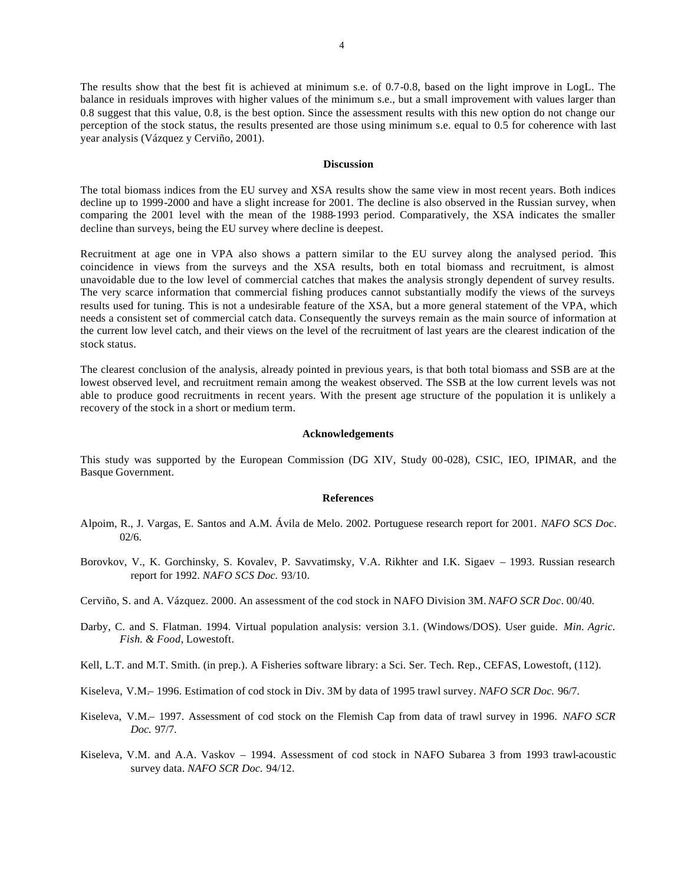The results show that the best fit is achieved at minimum s.e. of 0.7-0.8, based on the light improve in LogL. The balance in residuals improves with higher values of the minimum s.e., but a small improvement with values larger than 0.8 suggest that this value, 0.8, is the best option. Since the assessment results with this new option do not change our perception of the stock status, the results presented are those using minimum s.e. equal to 0.5 for coherence with last year analysis (Vázquez y Cerviño, 2001).

## **Discussion**

The total biomass indices from the EU survey and XSA results show the same view in most recent years. Both indices decline up to 1999-2000 and have a slight increase for 2001. The decline is also observed in the Russian survey, when comparing the 2001 level with the mean of the 1988-1993 period. Comparatively, the XSA indicates the smaller decline than surveys, being the EU survey where decline is deepest.

Recruitment at age one in VPA also shows a pattern similar to the EU survey along the analysed period. This coincidence in views from the surveys and the XSA results, both en total biomass and recruitment, is almost unavoidable due to the low level of commercial catches that makes the analysis strongly dependent of survey results. The very scarce information that commercial fishing produces cannot substantially modify the views of the surveys results used for tuning. This is not a undesirable feature of the XSA, but a more general statement of the VPA, which needs a consistent set of commercial catch data. Consequently the surveys remain as the main source of information at the current low level catch, and their views on the level of the recruitment of last years are the clearest indication of the stock status.

The clearest conclusion of the analysis, already pointed in previous years, is that both total biomass and SSB are at the lowest observed level, and recruitment remain among the weakest observed. The SSB at the low current levels was not able to produce good recruitments in recent years. With the present age structure of the population it is unlikely a recovery of the stock in a short or medium term.

## **Acknowledgements**

This study was supported by the European Commission (DG XIV, Study 00-028), CSIC, IEO, IPIMAR, and the Basque Government.

### **References**

- Alpoim, R., J. Vargas, E. Santos and A.M. Ávila de Melo. 2002. Portuguese research report for 2001. *NAFO SCS Doc*. 02/6.
- Borovkov, V., K. Gorchinsky, S. Kovalev, P. Savvatimsky, V.A. Rikhter and I.K. Sigaev 1993. Russian research report for 1992. *NAFO SCS Doc.* 93/10.
- Cerviño, S. and A. Vázquez. 2000. An assessment of the cod stock in NAFO Division 3M. *NAFO SCR Doc*. 00/40.
- Darby, C. and S. Flatman. 1994. Virtual population analysis: version 3.1. (Windows/DOS). User guide. *Min. Agric. Fish. & Food*, Lowestoft.
- Kell, L.T. and M.T. Smith. (in prep.). A Fisheries software library: a Sci. Ser. Tech. Rep., CEFAS, Lowestoft, (112).
- Kiseleva, V.M.– 1996. Estimation of cod stock in Div. 3M by data of 1995 trawl survey. *NAFO SCR Doc.* 96/7.
- Kiseleva, V.M.– 1997. Assessment of cod stock on the Flemish Cap from data of trawl survey in 1996. *NAFO SCR Doc.* 97/7.
- Kiseleva, V.M. and A.A. Vaskov 1994. Assessment of cod stock in NAFO Subarea 3 from 1993 trawl-acoustic survey data. *NAFO SCR Doc.* 94/12.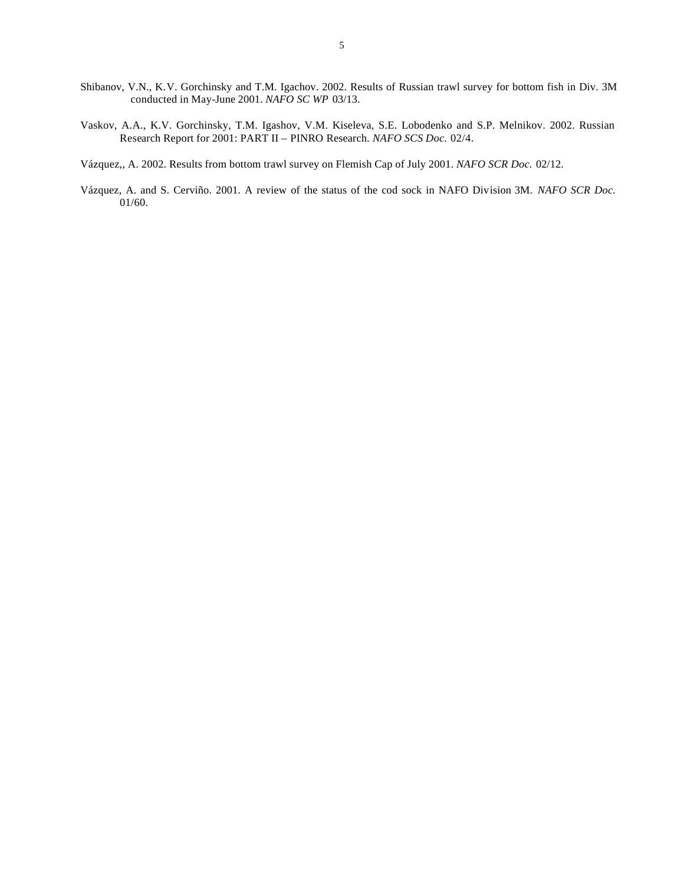- Shibanov, V.N., K.V. Gorchinsky and T.M. Igachov. 2002. Results of Russian trawl survey for bottom fish in Div. 3M conducted in May-June 2001. *NAFO SC WP* 03/13.
- Vaskov, A.A., K.V. Gorchinsky, T.M. Igashov, V.M. Kiseleva, S.E. Lobodenko and S.P. Melnikov. 2002. Russian Research Report for 2001: PART II – PINRO Research. *NAFO SCS Doc.* 02/4.
- Vázquez,, A. 2002. Results from bottom trawl survey on Flemish Cap of July 2001. *NAFO SCR Doc.* 02/12.
- Vázquez, A. and S. Cerviño. 2001. A review of the status of the cod sock in NAFO Division 3M. *NAFO SCR Doc.*  01/60.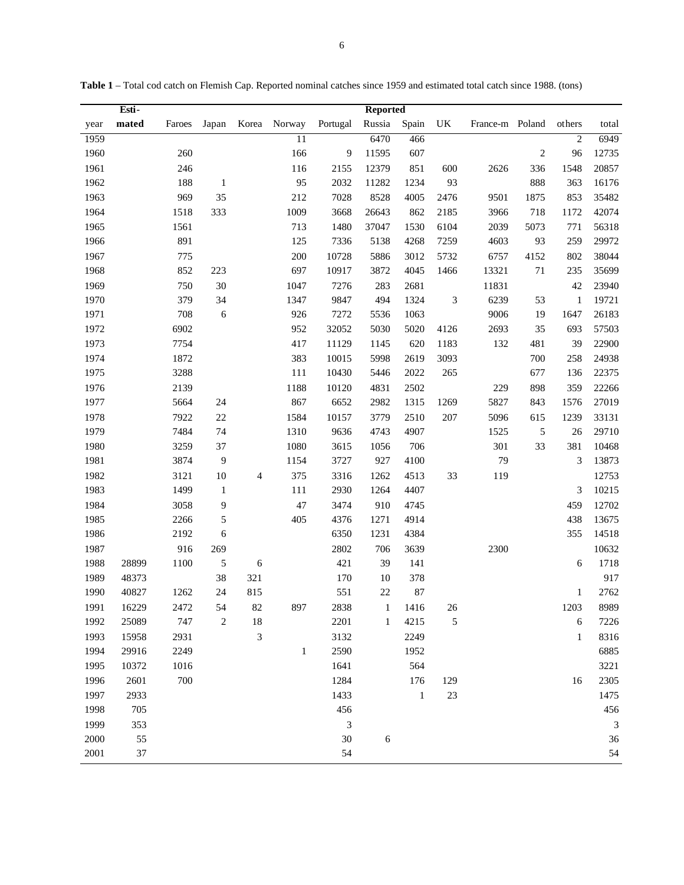|      | Esti- |        |              |     |              |          | <b>Reported</b> |              |                             |                 |                |                |                |
|------|-------|--------|--------------|-----|--------------|----------|-----------------|--------------|-----------------------------|-----------------|----------------|----------------|----------------|
| year | mated | Faroes | Japan        |     | Korea Norway | Portugal | Russia          | Spain        | UK                          | France-m Poland |                | others         | total          |
| 1959 |       |        |              |     | 11           |          | 6470            | 466          |                             |                 |                | $\overline{2}$ | 6949           |
| 1960 |       | 260    |              |     | 166          | 9        | 11595           | 607          |                             |                 | $\overline{c}$ | 96             | 12735          |
| 1961 |       | 246    |              |     | 116          | 2155     | 12379           | 851          | 600                         | 2626            | 336            | 1548           | 20857          |
| 1962 |       | 188    | -1           |     | 95           | 2032     | 11282           | 1234         | 93                          |                 | 888            | 363            | 16176          |
| 1963 |       | 969    | 35           |     | 212          | 7028     | 8528            | 4005         | 2476                        | 9501            | 1875           | 853            | 35482          |
| 1964 |       | 1518   | 333          |     | 1009         | 3668     | 26643           | 862          | 2185                        | 3966            | 718            | 1172           | 42074          |
| 1965 |       | 1561   |              |     | 713          | 1480     | 37047           | 1530         | 6104                        | 2039            | 5073           | 771            | 56318          |
| 1966 |       | 891    |              |     | 125          | 7336     | 5138            | 4268         | 7259                        | 4603            | 93             | 259            | 29972          |
| 1967 |       | 775    |              |     | 200          | 10728    | 5886            | 3012         | 5732                        | 6757            | 4152           | 802            | 38044          |
| 1968 |       | 852    | 223          |     | 697          | 10917    | 3872            | 4045         | 1466                        | 13321           | $71\,$         | 235            | 35699          |
| 1969 |       | 750    | 30           |     | 1047         | 7276     | 283             | 2681         |                             | 11831           |                | 42             | 23940          |
| 1970 |       | 379    | 34           |     | 1347         | 9847     | 494             | 1324         | $\ensuremath{\mathfrak{Z}}$ | 6239            | 53             | $\mathbf{1}$   | 19721          |
| 1971 |       | 708    | $\sqrt{6}$   |     | 926          | 7272     | 5536            | 1063         |                             | 9006            | 19             | 1647           | 26183          |
| 1972 |       | 6902   |              |     | 952          | 32052    | 5030            | 5020         | 4126                        | 2693            | 35             | 693            | 57503          |
| 1973 |       | 7754   |              |     | 417          | 11129    | 1145            | 620          | 1183                        | 132             | 481            | 39             | 22900          |
| 1974 |       | 1872   |              |     | 383          | 10015    | 5998            | 2619         | 3093                        |                 | 700            | 258            | 24938          |
| 1975 |       | 3288   |              |     | 111          | 10430    | 5446            | 2022         | 265                         |                 | 677            | 136            | 22375          |
| 1976 |       | 2139   |              |     | 1188         | 10120    | 4831            | 2502         |                             | 229             | 898            | 359            | 22266          |
| 1977 |       | 5664   | 24           |     | 867          | 6652     | 2982            | 1315         | 1269                        | 5827            | 843            | 1576           | 27019          |
| 1978 |       | 7922   | 22           |     | 1584         | 10157    | 3779            | 2510         | 207                         | 5096            | 615            | 1239           | 33131          |
| 1979 |       | 7484   | 74           |     | 1310         | 9636     | 4743            | 4907         |                             | 1525            | $\sqrt{5}$     | 26             | 29710          |
| 1980 |       | 3259   | 37           |     | 1080         | 3615     | 1056            | 706          |                             | 301             | 33             | 381            | 10468          |
| 1981 |       | 3874   | 9            |     | 1154         | 3727     | 927             | 4100         |                             | 79              |                | 3              | 13873          |
| 1982 |       | 3121   | $10\,$       | 4   | 375          | 3316     | 1262            | 4513         | 33                          | 119             |                |                | 12753          |
| 1983 |       | 1499   | $\mathbf{1}$ |     | 111          | 2930     | 1264            | 4407         |                             |                 |                | 3              | 10215          |
| 1984 |       | 3058   | 9            |     | 47           | 3474     | 910             | 4745         |                             |                 |                | 459            | 12702          |
| 1985 |       | 2266   | 5            |     | 405          | 4376     | 1271            | 4914         |                             |                 |                | 438            | 13675          |
| 1986 |       | 2192   | 6            |     |              | 6350     | 1231            | 4384         |                             |                 |                | 355            | 14518          |
| 1987 |       | 916    | 269          |     |              | 2802     | 706             | 3639         |                             | 2300            |                |                | 10632          |
| 1988 | 28899 | 1100   | 5            | 6   |              | 421      | 39              | 141          |                             |                 |                | 6              | 1718           |
| 1989 | 48373 |        | 38           | 321 |              | 170      | 10              | 378          |                             |                 |                |                | 917            |
| 1990 | 40827 | 1262   | 24           | 815 |              | 551      | $22\,$          | 87           |                             |                 |                | $\mathbf{1}$   | 2762           |
| 1991 | 16229 | 2472   | 54           | 82  | 897          | 2838     | $\mathbf{1}$    | 1416         | $26\,$                      |                 |                | 1203           | 8989           |
| 1992 | 25089 | 747    | 2            | 18  |              | 2201     | $\mathbf{1}$    | 4215         | 5                           |                 |                | 6              | 7226           |
| 1993 | 15958 | 2931   |              | 3   |              | 3132     |                 | 2249         |                             |                 |                | $\mathbf{1}$   | 8316           |
| 1994 | 29916 | 2249   |              |     | $\mathbf{1}$ | 2590     |                 | 1952         |                             |                 |                |                | 6885           |
| 1995 | 10372 | 1016   |              |     |              | 1641     |                 | 564          |                             |                 |                |                | 3221           |
| 1996 | 2601  | 700    |              |     |              | 1284     |                 | 176          | 129                         |                 |                | 16             | 2305           |
| 1997 | 2933  |        |              |     |              | 1433     |                 | $\mathbf{1}$ | 23                          |                 |                |                | 1475           |
| 1998 | 705   |        |              |     |              | 456      |                 |              |                             |                 |                |                | 456            |
| 1999 | 353   |        |              |     |              | 3        |                 |              |                             |                 |                |                | $\mathfrak{Z}$ |
| 2000 | 55    |        |              |     |              | $30\,$   | 6               |              |                             |                 |                |                | 36             |
| 2001 | 37    |        |              |     |              | 54       |                 |              |                             |                 |                |                | 54             |

**Table 1** – Total cod catch on Flemish Cap. Reported nominal catches since 1959 and estimated total catch since 1988. (tons)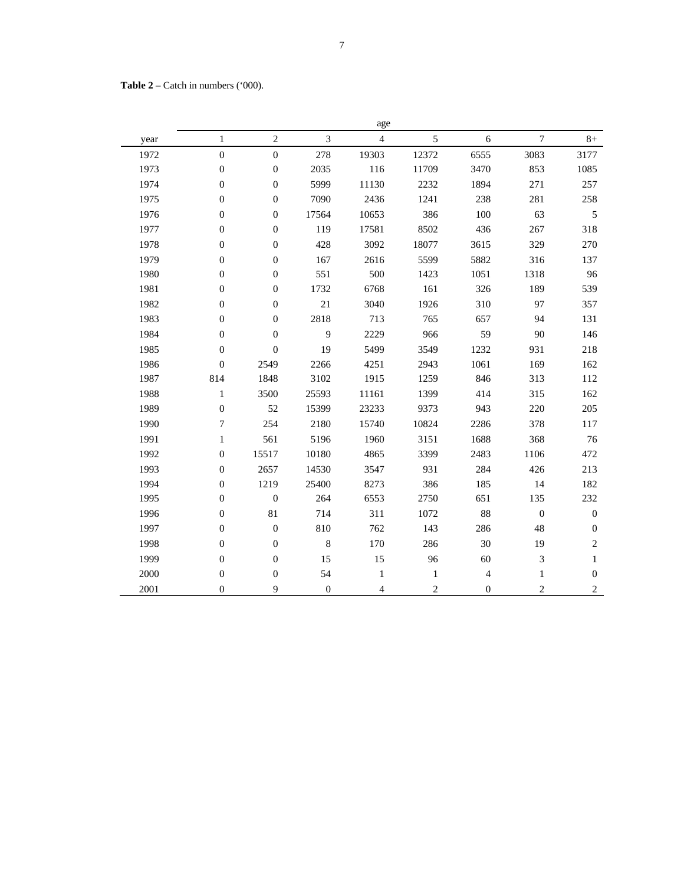**Table 2** – Catch in numbers ('000).

|      |                  |                  |                | age            |                |                |                |                  |
|------|------------------|------------------|----------------|----------------|----------------|----------------|----------------|------------------|
| year | $\mathbf{1}$     | $\overline{c}$   | 3              | $\overline{4}$ | 5              | 6              | $\overline{7}$ | $8+$             |
| 1972 | $\boldsymbol{0}$ | $\overline{0}$   | 278            | 19303          | 12372          | 6555           | 3083           | 3177             |
| 1973 | $\overline{0}$   | $\boldsymbol{0}$ | 2035           | 116            | 11709          | 3470           | 853            | 1085             |
| 1974 | $\overline{0}$   | $\overline{0}$   | 5999           | 11130          | 2232           | 1894           | 271            | 257              |
| 1975 | $\overline{0}$   | $\overline{0}$   | 7090           | 2436           | 1241           | 238            | 281            | 258              |
| 1976 | $\boldsymbol{0}$ | $\boldsymbol{0}$ | 17564          | 10653          | 386            | 100            | 63             | 5                |
| 1977 | $\boldsymbol{0}$ | $\boldsymbol{0}$ | 119            | 17581          | 8502           | 436            | 267            | 318              |
| 1978 | $\overline{0}$   | $\boldsymbol{0}$ | 428            | 3092           | 18077          | 3615           | 329            | 270              |
| 1979 | $\boldsymbol{0}$ | $\boldsymbol{0}$ | 167            | 2616           | 5599           | 5882           | 316            | 137              |
| 1980 | $\boldsymbol{0}$ | $\boldsymbol{0}$ | 551            | 500            | 1423           | 1051           | 1318           | 96               |
| 1981 | $\overline{0}$   | $\boldsymbol{0}$ | 1732           | 6768           | 161            | 326            | 189            | 539              |
| 1982 | $\boldsymbol{0}$ | $\boldsymbol{0}$ | 21             | 3040           | 1926           | 310            | 97             | 357              |
| 1983 | $\overline{0}$   | $\boldsymbol{0}$ | 2818           | 713            | 765            | 657            | 94             | 131              |
| 1984 | $\boldsymbol{0}$ | $\boldsymbol{0}$ | 9              | 2229           | 966            | 59             | 90             | 146              |
| 1985 | $\overline{0}$   | $\mathbf{0}$     | 19             | 5499           | 3549           | 1232           | 931            | 218              |
| 1986 | $\boldsymbol{0}$ | 2549             | 2266           | 4251           | 2943           | 1061           | 169            | 162              |
| 1987 | 814              | 1848             | 3102           | 1915           | 1259           | 846            | 313            | 112              |
| 1988 | $\mathbf{1}$     | 3500             | 25593          | 11161          | 1399           | 414            | 315            | 162              |
| 1989 | $\overline{0}$   | 52               | 15399          | 23233          | 9373           | 943            | 220            | 205              |
| 1990 | 7                | 254              | 2180           | 15740          | 10824          | 2286           | 378            | 117              |
| 1991 | $\mathbf{1}$     | 561              | 5196           | 1960           | 3151           | 1688           | 368            | 76               |
| 1992 | $\overline{0}$   | 15517            | 10180          | 4865           | 3399           | 2483           | 1106           | 472              |
| 1993 | $\boldsymbol{0}$ | 2657             | 14530          | 3547           | 931            | 284            | 426            | 213              |
| 1994 | $\overline{0}$   | 1219             | 25400          | 8273           | 386            | 185            | 14             | 182              |
| 1995 | $\boldsymbol{0}$ | $\boldsymbol{0}$ | 264            | 6553           | 2750           | 651            | 135            | 232              |
| 1996 | $\boldsymbol{0}$ | 81               | 714            | 311            | 1072           | 88             | $\mathbf{0}$   | $\boldsymbol{0}$ |
| 1997 | $\boldsymbol{0}$ | $\boldsymbol{0}$ | 810            | 762            | 143            | 286            | 48             | $\boldsymbol{0}$ |
| 1998 | $\overline{0}$   | $\boldsymbol{0}$ | $\,8\,$        | 170            | 286            | 30             | 19             | $\overline{c}$   |
| 1999 | $\boldsymbol{0}$ | $\boldsymbol{0}$ | 15             | 15             | 96             | 60             | 3              | $\mathbf{1}$     |
| 2000 | $\boldsymbol{0}$ | $\boldsymbol{0}$ | 54             | 1              | 1              | $\overline{4}$ | $\mathbf{1}$   | $\boldsymbol{0}$ |
| 2001 | $\overline{0}$   | 9                | $\overline{0}$ | $\overline{4}$ | $\overline{c}$ | $\overline{0}$ | $\overline{c}$ | $\overline{c}$   |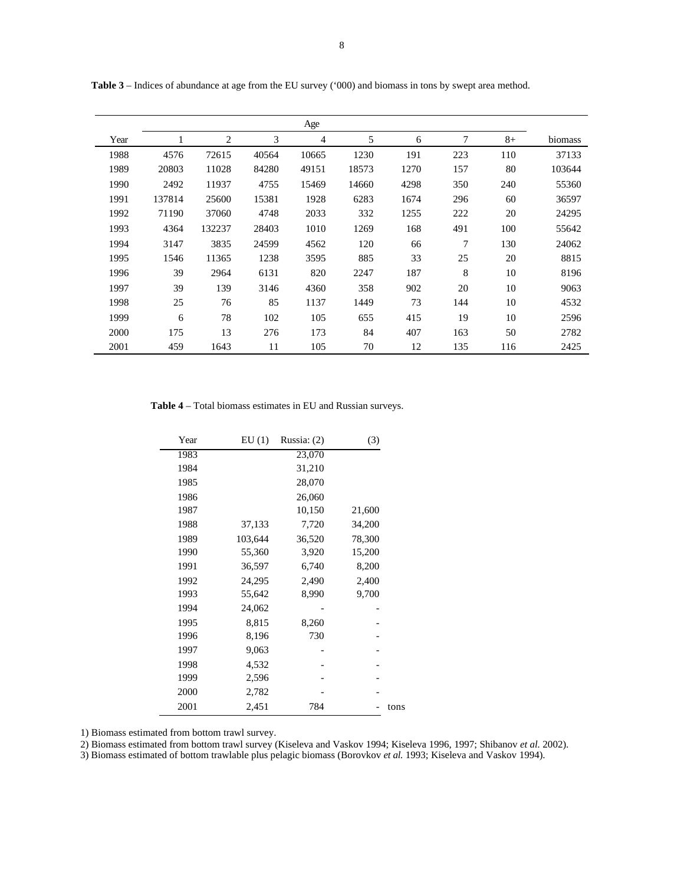|      |        |                |       | Age            |       |      |     |      |         |
|------|--------|----------------|-------|----------------|-------|------|-----|------|---------|
| Year | 1      | $\overline{2}$ | 3     | $\overline{4}$ | 5     | 6    | 7   | $8+$ | biomass |
| 1988 | 4576   | 72615          | 40564 | 10665          | 1230  | 191  | 223 | 110  | 37133   |
| 1989 | 20803  | 11028          | 84280 | 49151          | 18573 | 1270 | 157 | 80   | 103644  |
| 1990 | 2492   | 11937          | 4755  | 15469          | 14660 | 4298 | 350 | 240  | 55360   |
| 1991 | 137814 | 25600          | 15381 | 1928           | 6283  | 1674 | 296 | 60   | 36597   |
| 1992 | 71190  | 37060          | 4748  | 2033           | 332   | 1255 | 222 | 20   | 24295   |
| 1993 | 4364   | 132237         | 28403 | 1010           | 1269  | 168  | 491 | 100  | 55642   |
| 1994 | 3147   | 3835           | 24599 | 4562           | 120   | 66   | 7   | 130  | 24062   |
| 1995 | 1546   | 11365          | 1238  | 3595           | 885   | 33   | 25  | 20   | 8815    |
| 1996 | 39     | 2964           | 6131  | 820            | 2247  | 187  | 8   | 10   | 8196    |
| 1997 | 39     | 139            | 3146  | 4360           | 358   | 902  | 20  | 10   | 9063    |
| 1998 | 25     | 76             | 85    | 1137           | 1449  | 73   | 144 | 10   | 4532    |
| 1999 | 6      | 78             | 102   | 105            | 655   | 415  | 19  | 10   | 2596    |
| 2000 | 175    | 13             | 276   | 173            | 84    | 407  | 163 | 50   | 2782    |
| 2001 | 459    | 1643           | 11    | 105            | 70    | 12   | 135 | 116  | 2425    |

**Table 3** – Indices of abundance at age from the EU survey ('000) and biomass in tons by swept area method.

**Table 4** – Total biomass estimates in EU and Russian surveys.

| Year | EU(1)   | Russia: (2) | (3)    |      |
|------|---------|-------------|--------|------|
| 1983 |         | 23,070      |        |      |
| 1984 |         | 31,210      |        |      |
| 1985 |         | 28,070      |        |      |
| 1986 |         | 26,060      |        |      |
| 1987 |         | 10,150      | 21,600 |      |
| 1988 | 37,133  | 7,720       | 34,200 |      |
| 1989 | 103,644 | 36,520      | 78,300 |      |
| 1990 | 55,360  | 3,920       | 15,200 |      |
| 1991 | 36,597  | 6,740       | 8,200  |      |
| 1992 | 24,295  | 2,490       | 2,400  |      |
| 1993 | 55,642  | 8,990       | 9,700  |      |
| 1994 | 24,062  |             |        |      |
| 1995 | 8,815   | 8,260       |        |      |
| 1996 | 8,196   | 730         |        |      |
| 1997 | 9,063   |             |        |      |
| 1998 | 4,532   |             |        |      |
| 1999 | 2,596   |             |        |      |
| 2000 | 2,782   |             |        |      |
| 2001 | 2,451   | 784         |        | tons |

1) Biomass estimated from bottom trawl survey.

2) Biomass estimated from bottom trawl survey (Kiseleva and Vaskov 1994; Kiseleva 1996, 1997; Shibanov *et al.* 2002).

3) Biomass estimated of bottom trawlable plus pelagic biomass (Borovkov *et al.* 1993; Kiseleva and Vaskov 1994).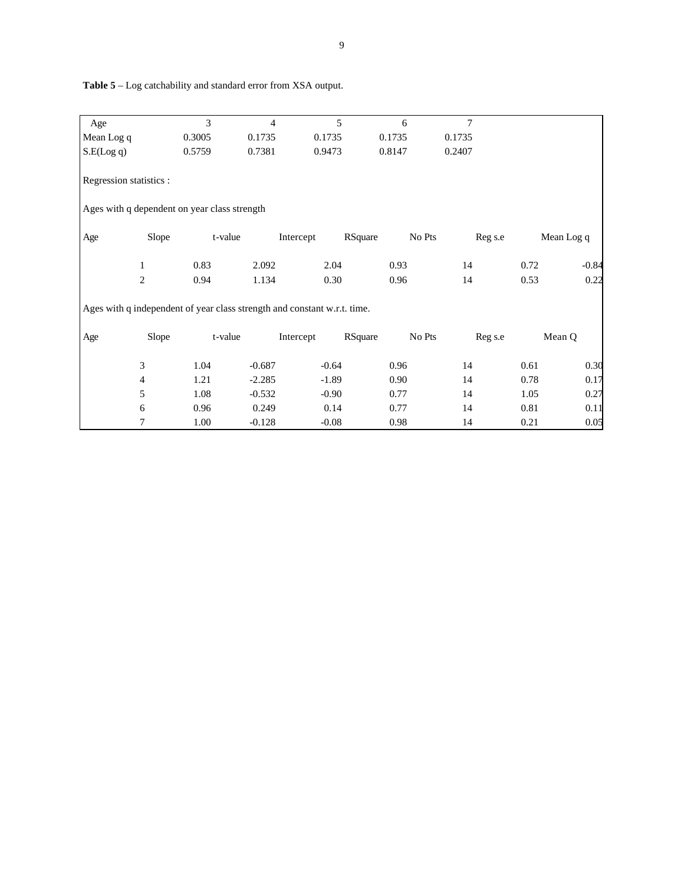| Age                     |                | 3                                                                        | $\overline{4}$ | 5         | 6       | 7      |         |            |
|-------------------------|----------------|--------------------------------------------------------------------------|----------------|-----------|---------|--------|---------|------------|
| Mean Log q              |                | 0.3005                                                                   | 0.1735         | 0.1735    | 0.1735  | 0.1735 |         |            |
| S.E(Log q)              |                | 0.5759                                                                   | 0.7381         | 0.9473    | 0.8147  | 0.2407 |         |            |
| Regression statistics : |                |                                                                          |                |           |         |        |         |            |
|                         |                | Ages with q dependent on year class strength                             |                |           |         |        |         |            |
| Age                     | Slope          | t-value                                                                  |                | Intercept | RSquare | No Pts | Reg s.e | Mean Log q |
|                         | 1              | 0.83                                                                     | 2.092          | 2.04      | 0.93    | 14     | 0.72    | $-0.84$    |
|                         | 2              | 0.94                                                                     | 1.134          | 0.30      | 0.96    | 14     | 0.53    | 0.22       |
|                         |                | Ages with q independent of year class strength and constant w.r.t. time. |                |           |         |        |         |            |
| Age                     | Slope          | t-value                                                                  |                | Intercept | RSquare | No Pts | Reg s.e | Mean Q     |
|                         | 3              | 1.04                                                                     | $-0.687$       | $-0.64$   | 0.96    | 14     | 0.61    | 0.30       |
|                         | $\overline{4}$ | 1.21                                                                     | $-2.285$       | $-1.89$   | 0.90    | 14     | 0.78    | 0.17       |
|                         | 5              | 1.08                                                                     | $-0.532$       | $-0.90$   | 0.77    | 14     | 1.05    | 0.27       |
|                         | 6              | 0.96                                                                     | 0.249          | 0.14      | 0.77    | 14     | 0.81    | 0.11       |
|                         | 7              | 1.00                                                                     | $-0.128$       | $-0.08$   | 0.98    | 14     | 0.21    | 0.05       |

 **Table 5** – Log catchability and standard error from XSA output.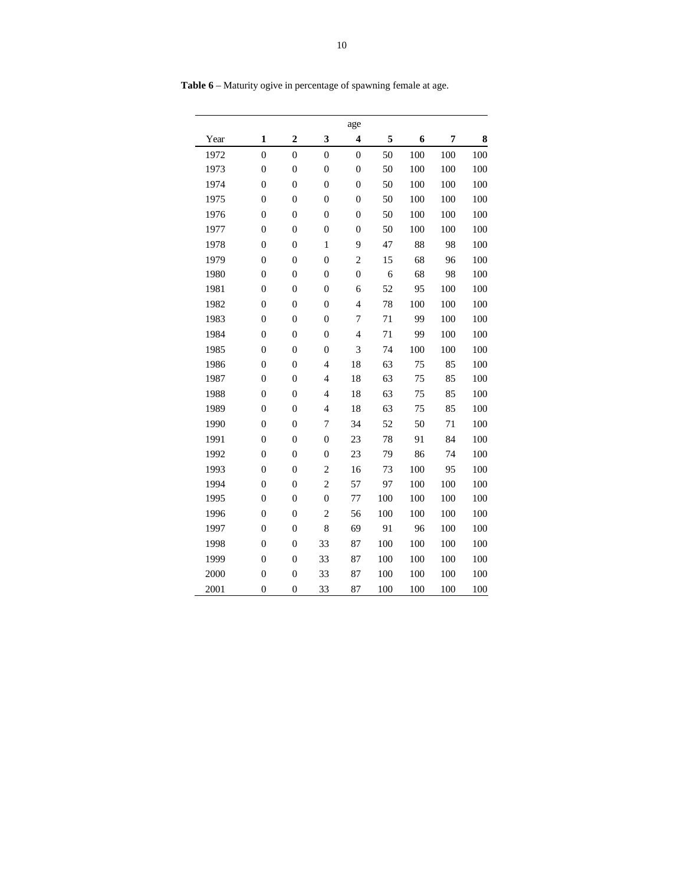|      |                  |                         |                         | age                      |     |     |     |     |
|------|------------------|-------------------------|-------------------------|--------------------------|-----|-----|-----|-----|
| Year | $\mathbf{1}$     | $\overline{\mathbf{c}}$ | $\overline{\mathbf{3}}$ | $\boldsymbol{4}$         | 5   | 6   | 7   | 8   |
| 1972 | $\mathbf{0}$     | $\overline{0}$          | $\mathbf{0}$            | $\boldsymbol{0}$         | 50  | 100 | 100 | 100 |
| 1973 | $\boldsymbol{0}$ | $\boldsymbol{0}$        | $\boldsymbol{0}$        | $\boldsymbol{0}$         | 50  | 100 | 100 | 100 |
| 1974 | $\boldsymbol{0}$ | $\boldsymbol{0}$        | $\boldsymbol{0}$        | $\mathbf{0}$             | 50  | 100 | 100 | 100 |
| 1975 | $\overline{0}$   | $\overline{0}$          | $\boldsymbol{0}$        | $\boldsymbol{0}$         | 50  | 100 | 100 | 100 |
| 1976 | $\overline{0}$   | $\overline{0}$          | $\boldsymbol{0}$        | $\boldsymbol{0}$         | 50  | 100 | 100 | 100 |
| 1977 | $\boldsymbol{0}$ | $\boldsymbol{0}$        | $\boldsymbol{0}$        | $\boldsymbol{0}$         | 50  | 100 | 100 | 100 |
| 1978 | $\overline{0}$   | $\boldsymbol{0}$        | $\,1$                   | 9                        | 47  | 88  | 98  | 100 |
| 1979 | $\boldsymbol{0}$ | $\boldsymbol{0}$        | $\boldsymbol{0}$        | $\overline{c}$           | 15  | 68  | 96  | 100 |
| 1980 | $\boldsymbol{0}$ | $\boldsymbol{0}$        | $\boldsymbol{0}$        | $\boldsymbol{0}$         | 6   | 68  | 98  | 100 |
| 1981 | $\boldsymbol{0}$ | $\boldsymbol{0}$        | $\boldsymbol{0}$        | 6                        | 52  | 95  | 100 | 100 |
| 1982 | $\boldsymbol{0}$ | $\boldsymbol{0}$        | $\boldsymbol{0}$        | $\overline{\mathcal{L}}$ | 78  | 100 | 100 | 100 |
| 1983 | $\boldsymbol{0}$ | $\boldsymbol{0}$        | $\boldsymbol{0}$        | $\overline{7}$           | 71  | 99  | 100 | 100 |
| 1984 | $\overline{0}$   | $\overline{0}$          | $\overline{0}$          | $\overline{4}$           | 71  | 99  | 100 | 100 |
| 1985 | $\overline{0}$   | $\boldsymbol{0}$        | $\boldsymbol{0}$        | 3                        | 74  | 100 | 100 | 100 |
| 1986 | $\boldsymbol{0}$ | $\boldsymbol{0}$        | $\overline{4}$          | 18                       | 63  | 75  | 85  | 100 |
| 1987 | $\boldsymbol{0}$ | $\boldsymbol{0}$        | $\overline{4}$          | 18                       | 63  | 75  | 85  | 100 |
| 1988 | $\boldsymbol{0}$ | $\boldsymbol{0}$        | $\overline{4}$          | 18                       | 63  | 75  | 85  | 100 |
| 1989 | $\mathbf{0}$     | $\boldsymbol{0}$        | $\overline{4}$          | 18                       | 63  | 75  | 85  | 100 |
| 1990 | $\mathbf{0}$     | $\mathbf{0}$            | 7                       | 34                       | 52  | 50  | 71  | 100 |
| 1991 | $\boldsymbol{0}$ | $\boldsymbol{0}$        | $\boldsymbol{0}$        | 23                       | 78  | 91  | 84  | 100 |
| 1992 | $\boldsymbol{0}$ | $\boldsymbol{0}$        | $\boldsymbol{0}$        | 23                       | 79  | 86  | 74  | 100 |
| 1993 | $\boldsymbol{0}$ | $\boldsymbol{0}$        | $\overline{c}$          | 16                       | 73  | 100 | 95  | 100 |
| 1994 | $\overline{0}$   | $\overline{0}$          | $\overline{c}$          | 57                       | 97  | 100 | 100 | 100 |
| 1995 | $\boldsymbol{0}$ | $\boldsymbol{0}$        | $\boldsymbol{0}$        | 77                       | 100 | 100 | 100 | 100 |
| 1996 | $\boldsymbol{0}$ | $\boldsymbol{0}$        | $\overline{c}$          | 56                       | 100 | 100 | 100 | 100 |
| 1997 | $\overline{0}$   | $\overline{0}$          | 8                       | 69                       | 91  | 96  | 100 | 100 |
| 1998 | $\boldsymbol{0}$ | $\boldsymbol{0}$        | 33                      | 87                       | 100 | 100 | 100 | 100 |
| 1999 | $\boldsymbol{0}$ | $\boldsymbol{0}$        | 33                      | 87                       | 100 | 100 | 100 | 100 |
| 2000 | $\overline{0}$   | $\boldsymbol{0}$        | 33                      | 87                       | 100 | 100 | 100 | 100 |
| 2001 | $\overline{0}$   | $\mathbf{0}$            | 33                      | 87                       | 100 | 100 | 100 | 100 |

**Table 6** – Maturity ogive in percentage of spawning female at age.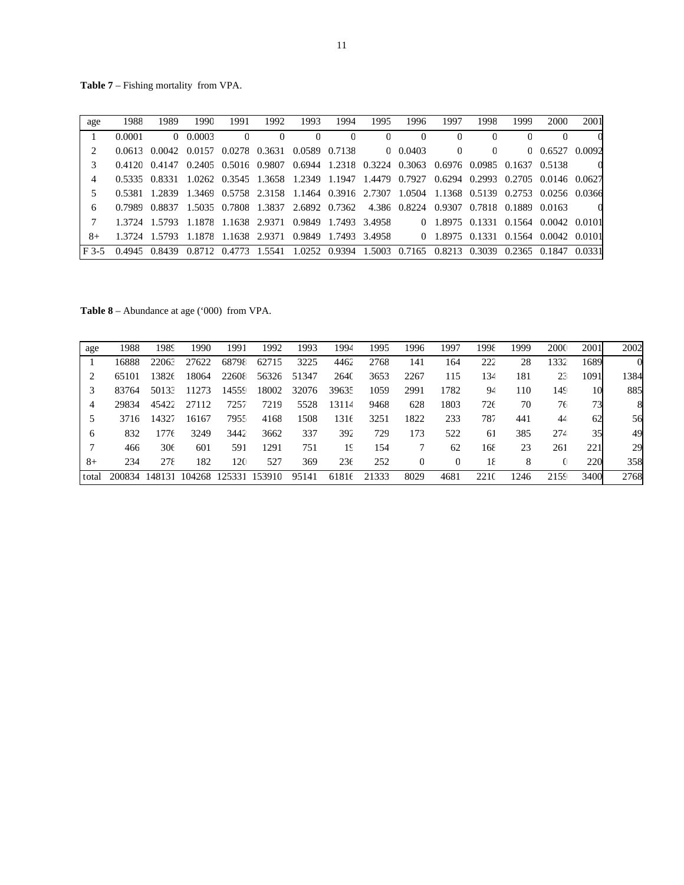**Table 7** – Fishing mortality from VPA.

| age                         | 1988   | 1989                                                                                              | 1990   | 1991 | 1992                                                                                | 1993         | 1994 | 1995     | 1996     | 1997                                 | 1998     | 1999 | 2000               | 2001 |
|-----------------------------|--------|---------------------------------------------------------------------------------------------------|--------|------|-------------------------------------------------------------------------------------|--------------|------|----------|----------|--------------------------------------|----------|------|--------------------|------|
|                             | 0.0001 |                                                                                                   | 0.0003 |      | $\Omega$                                                                            | $\mathbf{0}$ |      | $\Omega$ | $\Omega$ | $\Omega$                             |          |      |                    |      |
| $\mathcal{D}_{\mathcal{A}}$ |        | 0.0613 0.0042 0.0157 0.0278 0.3631 0.0589 0.7138                                                  |        |      |                                                                                     |              |      |          | 0.0403   | $\Omega$                             | $\Omega$ |      | $0.06527$ $0.0092$ |      |
|                             |        | 0.4120 0.4147 0.2405 0.5016 0.9807 0.6944 1.2318 0.3224 0.3063 0.6976 0.0985 0.1637 0.5138        |        |      |                                                                                     |              |      |          |          |                                      |          |      |                    |      |
|                             |        | 0.5335 0.8331 1.0262 0.3545 1.3658 1.2349 1.1947 1.4479 0.7927 0.6294 0.2993 0.2705 0.0146 0.0627 |        |      |                                                                                     |              |      |          |          |                                      |          |      |                    |      |
|                             |        | 0.5381 1.2839 1.3469 0.5758 2.3158 1.1464 0.3916 2.7307 1.0504 1.1368 0.5139 0.2753 0.0256 0.0366 |        |      |                                                                                     |              |      |          |          |                                      |          |      |                    |      |
| 6                           |        | 0.7989 0.8837 1.5035 0.7808 1.3837 2.6892 0.7362 4.386 0.8224 0.9307 0.7818 0.1889 0.0163         |        |      |                                                                                     |              |      |          |          |                                      |          |      |                    |      |
|                             |        | 1.3724 1.5793 1.1878 1.1638 2.9371 0.9849 1.7493 3.4958                                           |        |      |                                                                                     |              |      |          |          | 0 1.8975 0.1331 0.1564 0.0042 0.0101 |          |      |                    |      |
| $8+$                        |        | 1.3724 1.5793 1.1878 1.1638 2.9371 0.9849 1.7493 3.4958 0 1.8975 0.1331 0.1564 0.0042 0.0101      |        |      |                                                                                     |              |      |          |          |                                      |          |      |                    |      |
| $F$ 3-5                     | 0.4945 | 0.8439                                                                                            |        |      | 0.8712 0.4773 1.5541 1.0252 0.9394 1.5003 0.7165 0.8213 0.3039 0.2365 0.1847 0.0331 |              |      |          |          |                                      |          |      |                    |      |

**Table 8** – Abundance at age ('000) from VPA.

| age   | 1988   | 1989            | 1990   | 1991   | 1992   | 1993  | 1994  | 1995  | 1996 | 1997 | 1998 | 1999 | <b>2000</b> | 2001 | 2002 |
|-------|--------|-----------------|--------|--------|--------|-------|-------|-------|------|------|------|------|-------------|------|------|
|       | 16888  | 22063           | 27622  | 68798  | 62715  | 3225  | 4462  | 2768  | 141  | 164  | 222  | 28   | 1332        | 1689 |      |
|       | 65101  | 13826           | 18064  | 22608  | 56326  | 51347 | 2640  | 3653  | 2267 | 115  | 134  | 181  | 23          | 1091 | 1384 |
|       | 83764  | 50133           | 11273  | 14559  | 18002  | 32076 | 39635 | 1059  | 2991 | 1782 | 94   | 110  | 149         | 10   | 885  |
| 4     | 29834  | 45422           | 27112  | 7257   | 7219   | 5528  | 13114 | 9468  | 628  | 1803 | 726  | 70   | 76          | 73   | 8    |
|       | 3716   | 14327           | 16167  | 7955   | 4168   | 1508  | 1316  | 3251  | 1822 | 233  | 787  | 441  | 44          | 62   | 56   |
| 6     | 832    | 776             | 3249   | 3442   | 3662   | 337   | 392   | 729   | 173  | 522  | 61   | 385  | 274         | 35   | 49   |
|       | 466    | 30 <sub>6</sub> | 601    | 591    | 1291   | 751   | 19    | 154   |      | 62   | 168  | 23   | 261         | 221  | 29   |
| $8+$  | 234    | 278             | 182    | 120    | 527    | 369   | 236   | 252   |      | 0    | 18   | 8    |             | 220  | 358  |
| total | 200834 | 148131          | 104268 | 125331 | 153910 | 95141 | 61816 | 21333 | 8029 | 4681 | 2210 | 246  | 2159        | 3400 | 2768 |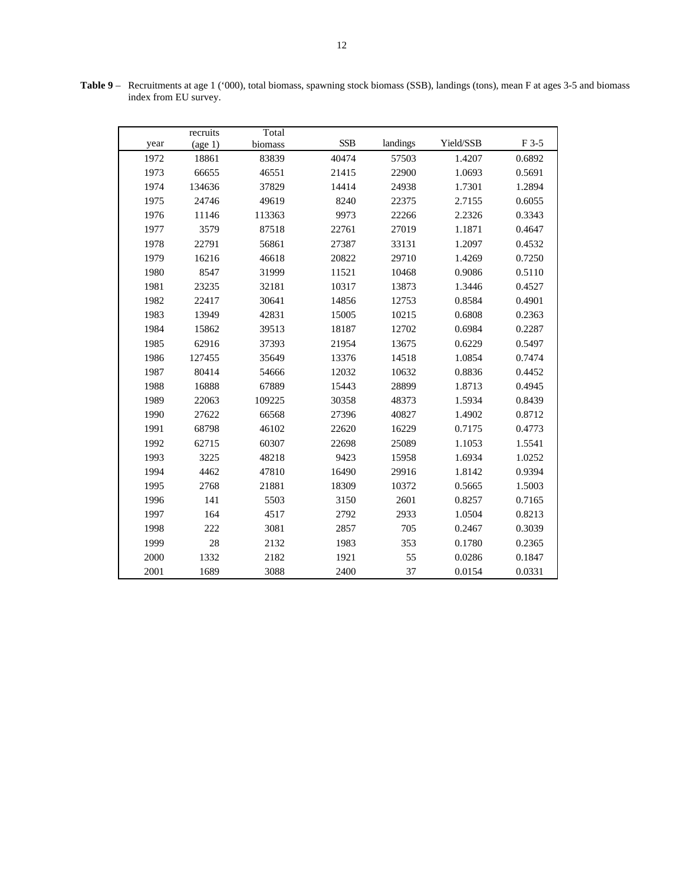|      | recruits                     | Total   |            |          |           |        |
|------|------------------------------|---------|------------|----------|-----------|--------|
| year | $\left(\text{age } 1\right)$ | biomass | <b>SSB</b> | landings | Yield/SSB | F 3-5  |
| 1972 | 18861                        | 83839   | 40474      | 57503    | 1.4207    | 0.6892 |
| 1973 | 66655                        | 46551   | 21415      | 22900    | 1.0693    | 0.5691 |
| 1974 | 134636                       | 37829   | 14414      | 24938    | 1.7301    | 1.2894 |
| 1975 | 24746                        | 49619   | 8240       | 22375    | 2.7155    | 0.6055 |
| 1976 | 11146                        | 113363  | 9973       | 22266    | 2.2326    | 0.3343 |
| 1977 | 3579                         | 87518   | 22761      | 27019    | 1.1871    | 0.4647 |
| 1978 | 22791                        | 56861   | 27387      | 33131    | 1.2097    | 0.4532 |
| 1979 | 16216                        | 46618   | 20822      | 29710    | 1.4269    | 0.7250 |
| 1980 | 8547                         | 31999   | 11521      | 10468    | 0.9086    | 0.5110 |
| 1981 | 23235                        | 32181   | 10317      | 13873    | 1.3446    | 0.4527 |
| 1982 | 22417                        | 30641   | 14856      | 12753    | 0.8584    | 0.4901 |
| 1983 | 13949                        | 42831   | 15005      | 10215    | 0.6808    | 0.2363 |
| 1984 | 15862                        | 39513   | 18187      | 12702    | 0.6984    | 0.2287 |
| 1985 | 62916                        | 37393   | 21954      | 13675    | 0.6229    | 0.5497 |
| 1986 | 127455                       | 35649   | 13376      | 14518    | 1.0854    | 0.7474 |
| 1987 | 80414                        | 54666   | 12032      | 10632    | 0.8836    | 0.4452 |
| 1988 | 16888                        | 67889   | 15443      | 28899    | 1.8713    | 0.4945 |
| 1989 | 22063                        | 109225  | 30358      | 48373    | 1.5934    | 0.8439 |
| 1990 | 27622                        | 66568   | 27396      | 40827    | 1.4902    | 0.8712 |
| 1991 | 68798                        | 46102   | 22620      | 16229    | 0.7175    | 0.4773 |
| 1992 | 62715                        | 60307   | 22698      | 25089    | 1.1053    | 1.5541 |
| 1993 | 3225                         | 48218   | 9423       | 15958    | 1.6934    | 1.0252 |
| 1994 | 4462                         | 47810   | 16490      | 29916    | 1.8142    | 0.9394 |
| 1995 | 2768                         | 21881   | 18309      | 10372    | 0.5665    | 1.5003 |
| 1996 | 141                          | 5503    | 3150       | 2601     | 0.8257    | 0.7165 |
| 1997 | 164                          | 4517    | 2792       | 2933     | 1.0504    | 0.8213 |
| 1998 | 222                          | 3081    | 2857       | 705      | 0.2467    | 0.3039 |
| 1999 | 28                           | 2132    | 1983       | 353      | 0.1780    | 0.2365 |
| 2000 | 1332                         | 2182    | 1921       | 55       | 0.0286    | 0.1847 |
| 2001 | 1689                         | 3088    | 2400       | 37       | 0.0154    | 0.0331 |

**Table 9** – Recruitments at age 1 ('000), total biomass, spawning stock biomass (SSB), landings (tons), mean F at ages 3-5 and biomass index from EU survey.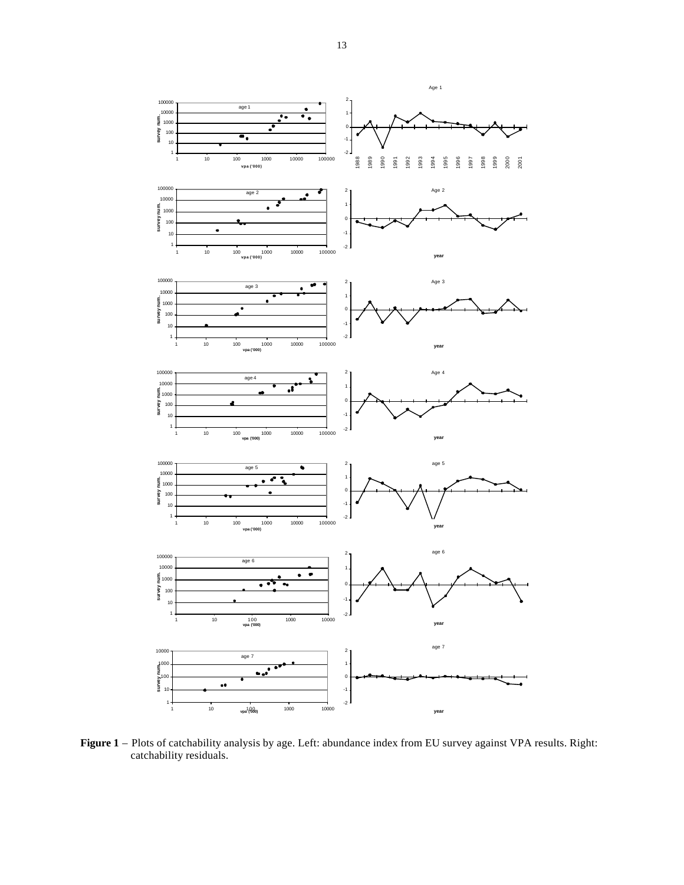

**Figure 1** – Plots of catchability analysis by age. Left: abundance index from EU survey against VPA results. Right: catchability residuals.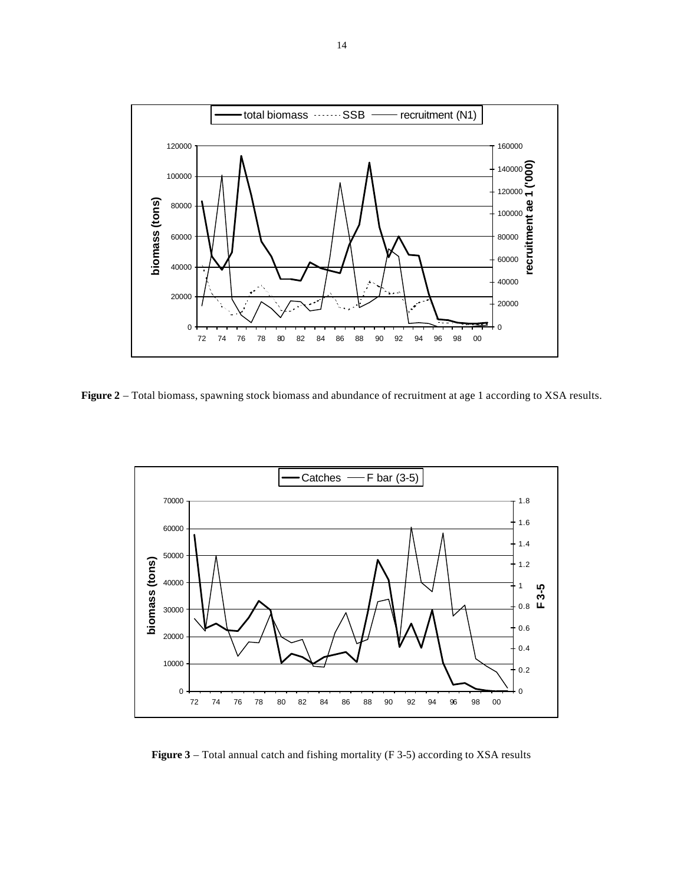

**Figure 2** – Total biomass, spawning stock biomass and abundance of recruitment at age 1 according to XSA results.



**Figure 3** – Total annual catch and fishing mortality (F 3-5) according to XSA results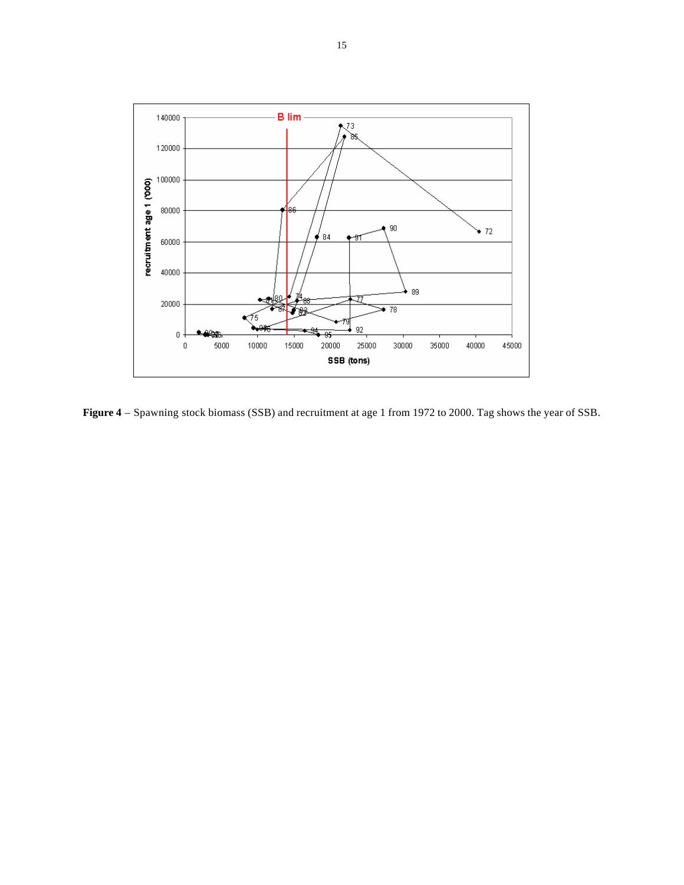

**Figure 4** – Spawning stock biomass (SSB) and recruitment at age 1 from 1972 to 2000. Tag shows the year of SSB.